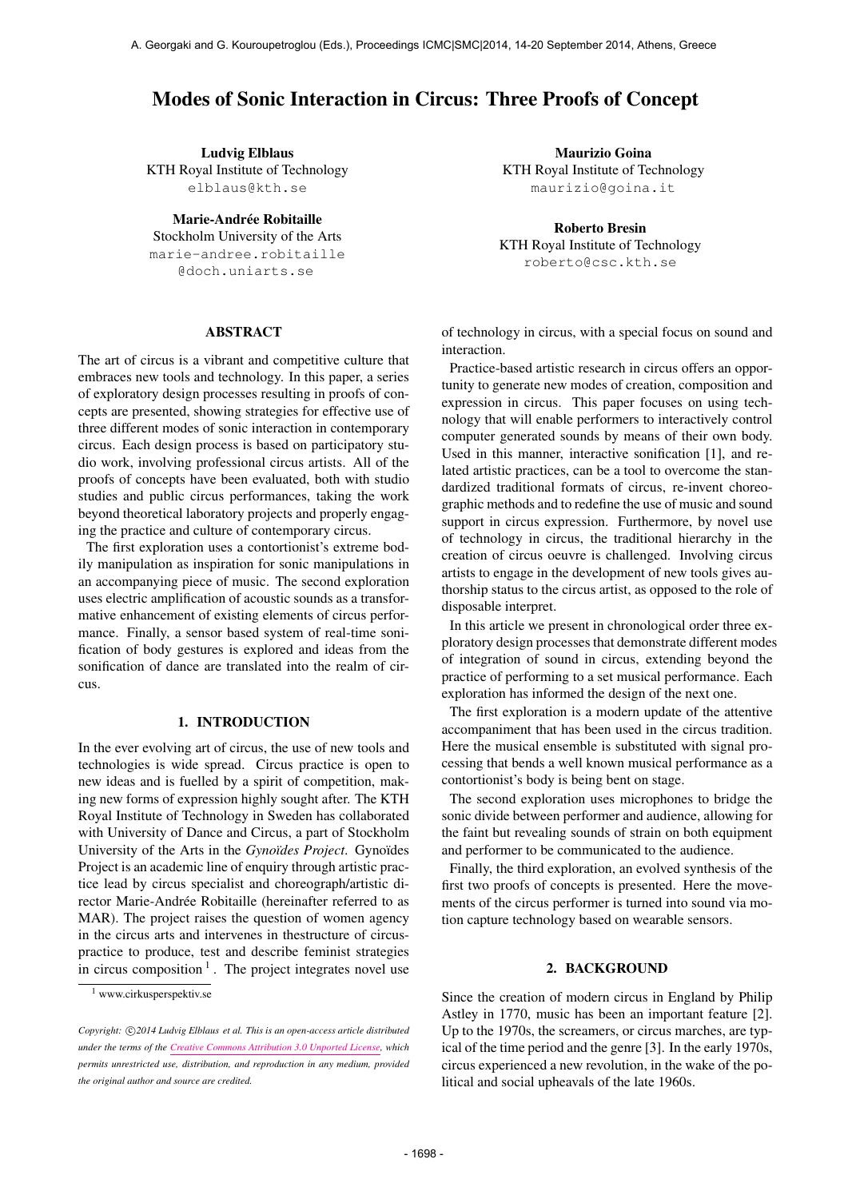# Modes of Sonic Interaction in Circus: Three Proofs of Concept

Ludvig Elblaus KTH Royal Institute of Technology [elblaus@kth.se](mailto:elblaus@kth.se)

Marie-Andrée Robitaille Stockholm University of the Arts [marie-andree.robitaille](mailto:marie-andree.robitaille@doch.uniarts.se) [@doch.uniarts.se](mailto:marie-andree.robitaille@doch.uniarts.se)

### ABSTRACT

The art of circus is a vibrant and competitive culture that embraces new tools and technology. In this paper, a series of exploratory design processes resulting in proofs of concepts are presented, showing strategies for effective use of three different modes of sonic interaction in contemporary circus. Each design process is based on participatory studio work, involving professional circus artists. All of the proofs of concepts have been evaluated, both with studio studies and public circus performances, taking the work beyond theoretical laboratory projects and properly engaging the practice and culture of contemporary circus.

The first exploration uses a contortionist's extreme bodily manipulation as inspiration for sonic manipulations in an accompanying piece of music. The second exploration uses electric amplification of acoustic sounds as a transformative enhancement of existing elements of circus performance. Finally, a sensor based system of real-time sonification of body gestures is explored and ideas from the sonification of dance are translated into the realm of circus.

### 1. INTRODUCTION

In the ever evolving art of circus, the use of new tools and technologies is wide spread. Circus practice is open to new ideas and is fuelled by a spirit of competition, making new forms of expression highly sought after. The KTH Royal Institute of Technology in Sweden has collaborated with University of Dance and Circus, a part of Stockholm University of the Arts in the *Gynoïdes Project*. Gynoïdes Project is an academic line of enquiry through artistic practice lead by circus specialist and choreograph/artistic director Marie-Andrée Robitaille (hereinafter referred to as MAR). The project raises the question of women agency in the circus arts and intervenes in thestructure of circuspractice to produce, test and describe feminist strategies in circus composition  $1$ . The project integrates novel use

Maurizio Goina KTH Royal Institute of Technology [maurizio@goina.it](mailto:maurizio@goina.it)

Roberto Bresin KTH Royal Institute of Technology [roberto@csc.kth.se](mailto:roberto@csc.kth.se)

of technology in circus, with a special focus on sound and interaction.

Practice-based artistic research in circus offers an opportunity to generate new modes of creation, composition and expression in circus. This paper focuses on using technology that will enable performers to interactively control computer generated sounds by means of their own body. Used in this manner, interactive sonification [1], and related artistic practices, can be a tool to overcome the standardized traditional formats of circus, re-invent choreographic methods and to redefine the use of music and sound support in circus expression. Furthermore, by novel use of technology in circus, the traditional hierarchy in the creation of circus oeuvre is challenged. Involving circus artists to engage in the development of new tools gives authorship status to the circus artist, as opposed to the role of disposable interpret.

In this article we present in chronological order three exploratory design processes that demonstrate different modes of integration of sound in circus, extending beyond the practice of performing to a set musical performance. Each exploration has informed the design of the next one.

The first exploration is a modern update of the attentive accompaniment that has been used in the circus tradition. Here the musical ensemble is substituted with signal processing that bends a well known musical performance as a contortionist's body is being bent on stage.

The second exploration uses microphones to bridge the sonic divide between performer and audience, allowing for the faint but revealing sounds of strain on both equipment and performer to be communicated to the audience.

Finally, the third exploration, an evolved synthesis of the first two proofs of concepts is presented. Here the movements of the circus performer is turned into sound via motion capture technology based on wearable sensors.

#### 2. BACKGROUND

Since the creation of modern circus in England by Philip Astley in 1770, music has been an important feature [2]. Up to the 1970s, the screamers, or circus marches, are typical of the time period and the genre [3]. In the early 1970s, circus experienced a new revolution, in the wake of the political and social upheavals of the late 1960s.

<sup>1</sup> www.cirkusperspektiv.se

Copyright:  $\bigcirc$ 2014 Ludvig Elblaus et al. This is an open-access article distributed *under the terms of the [Creative Commons Attribution 3.0 Unported License,](http://creativecommons.org/licenses/by/3.0/) which permits unrestricted use, distribution, and reproduction in any medium, provided the original author and source are credited.*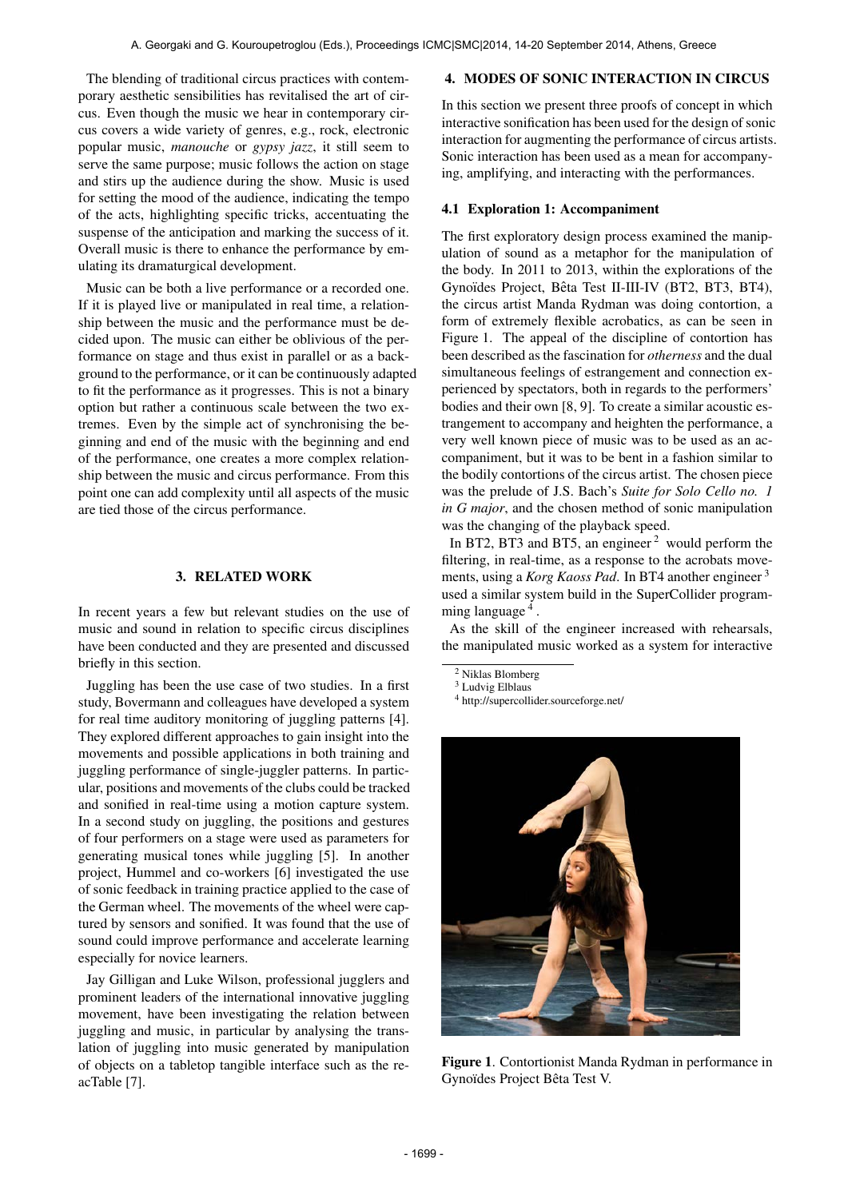The blending of traditional circus practices with contemporary aesthetic sensibilities has revitalised the art of circus. Even though the music we hear in contemporary circus covers a wide variety of genres, e.g., rock, electronic popular music, *manouche* or *gypsy jazz*, it still seem to serve the same purpose; music follows the action on stage and stirs up the audience during the show. Music is used for setting the mood of the audience, indicating the tempo of the acts, highlighting specific tricks, accentuating the suspense of the anticipation and marking the success of it. Overall music is there to enhance the performance by emulating its dramaturgical development.

Music can be both a live performance or a recorded one. If it is played live or manipulated in real time, a relationship between the music and the performance must be decided upon. The music can either be oblivious of the performance on stage and thus exist in parallel or as a background to the performance, or it can be continuously adapted to fit the performance as it progresses. This is not a binary option but rather a continuous scale between the two extremes. Even by the simple act of synchronising the beginning and end of the music with the beginning and end of the performance, one creates a more complex relationship between the music and circus performance. From this point one can add complexity until all aspects of the music are tied those of the circus performance.

### 3. RELATED WORK

In recent years a few but relevant studies on the use of music and sound in relation to specific circus disciplines have been conducted and they are presented and discussed briefly in this section.

Juggling has been the use case of two studies. In a first study, Bovermann and colleagues have developed a system for real time auditory monitoring of juggling patterns [4]. They explored different approaches to gain insight into the movements and possible applications in both training and juggling performance of single-juggler patterns. In particular, positions and movements of the clubs could be tracked and sonified in real-time using a motion capture system. In a second study on juggling, the positions and gestures of four performers on a stage were used as parameters for generating musical tones while juggling [5]. In another project, Hummel and co-workers [6] investigated the use of sonic feedback in training practice applied to the case of the German wheel. The movements of the wheel were captured by sensors and sonified. It was found that the use of sound could improve performance and accelerate learning especially for novice learners.

Jay Gilligan and Luke Wilson, professional jugglers and prominent leaders of the international innovative juggling movement, have been investigating the relation between juggling and music, in particular by analysing the translation of juggling into music generated by manipulation of objects on a tabletop tangible interface such as the reacTable [7].

### 4. MODES OF SONIC INTERACTION IN CIRCUS

In this section we present three proofs of concept in which interactive sonification has been used for the design of sonic interaction for augmenting the performance of circus artists. Sonic interaction has been used as a mean for accompanying, amplifying, and interacting with the performances.

### 4.1 Exploration 1: Accompaniment

The first exploratory design process examined the manipulation of sound as a metaphor for the manipulation of the body. In 2011 to 2013, within the explorations of the Gynoïdes Project, Bêta Test II-III-IV (BT2, BT3, BT4), the circus artist Manda Rydman was doing contortion, a form of extremely flexible acrobatics, as can be seen in Figure 1. The appeal of the discipline of contortion has been described as the fascination for *otherness* and the dual simultaneous feelings of estrangement and connection experienced by spectators, both in regards to the performers' bodies and their own [8, 9]. To create a similar acoustic estrangement to accompany and heighten the performance, a very well known piece of music was to be used as an accompaniment, but it was to be bent in a fashion similar to the bodily contortions of the circus artist. The chosen piece was the prelude of J.S. Bach's *Suite for Solo Cello no. 1 in G major*, and the chosen method of sonic manipulation was the changing of the playback speed.

In BT2, BT3 and BT5, an engineer  $2$  would perform the filtering, in real-time, as a response to the acrobats movements, using a *Korg Kaoss Pad*. In BT4 another engineer 3 used a similar system build in the SuperCollider programming language<sup>4</sup>.

As the skill of the engineer increased with rehearsals, the manipulated music worked as a system for interactive

<sup>4</sup> http://supercollider.sourceforge.net/



Figure 1. Contortionist Manda Rydman in performance in Gynoïdes Project Bêta Test V.

<sup>2</sup> Niklas Blomberg

<sup>3</sup> Ludvig Elblaus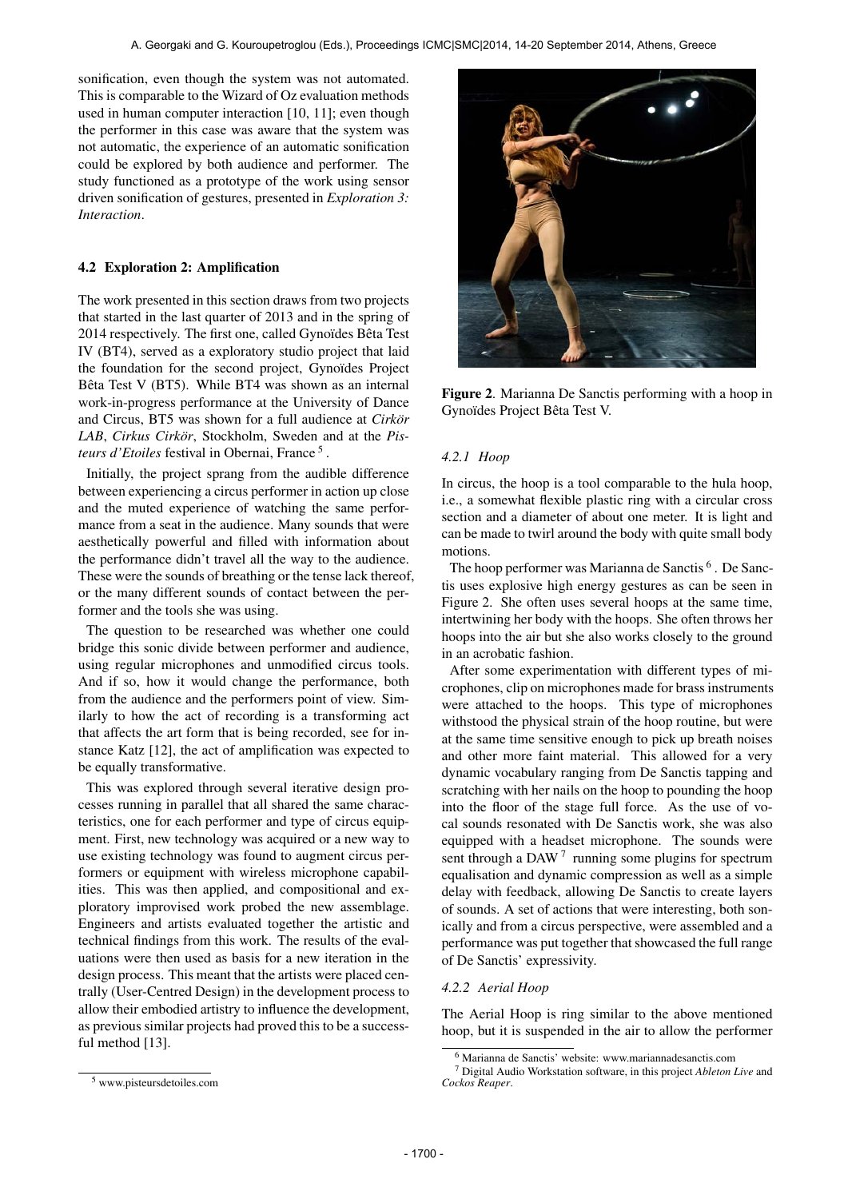sonification, even though the system was not automated. This is comparable to the Wizard of Oz evaluation methods used in human computer interaction [10, 11]; even though the performer in this case was aware that the system was not automatic, the experience of an automatic sonification could be explored by both audience and performer. The study functioned as a prototype of the work using sensor driven sonification of gestures, presented in *Exploration 3: Interaction*.

### 4.2 Exploration 2: Amplification

The work presented in this section draws from two projects that started in the last quarter of 2013 and in the spring of 2014 respectively. The first one, called Gynoïdes Bêta Test IV (BT4), served as a exploratory studio project that laid the foundation for the second project, Gynoïdes Project Bêta Test V (BT5). While BT4 was shown as an internal work-in-progress performance at the University of Dance and Circus, BT5 was shown for a full audience at *Cirkor* LAB, Cirkus Cirkör, Stockholm, Sweden and at the Pisteurs d'Etoiles festival in Obernai, France <sup>5</sup>.

Initially, the project sprang from the audible difference between experiencing a circus performer in action up close and the muted experience of watching the same performance from a seat in the audience. Many sounds that were aesthetically powerful and filled with information about the performance didn't travel all the way to the audience. These were the sounds of breathing or the tense lack thereof, or the many different sounds of contact between the performer and the tools she was using.

The question to be researched was whether one could bridge this sonic divide between performer and audience, using regular microphones and unmodified circus tools. And if so, how it would change the performance, both from the audience and the performers point of view. Similarly to how the act of recording is a transforming act that affects the art form that is being recorded, see for instance Katz [12], the act of amplification was expected to be equally transformative.

This was explored through several iterative design processes running in parallel that all shared the same characteristics, one for each performer and type of circus equipment. First, new technology was acquired or a new way to use existing technology was found to augment circus performers or equipment with wireless microphone capabilities. This was then applied, and compositional and exploratory improvised work probed the new assemblage. Engineers and artists evaluated together the artistic and technical findings from this work. The results of the evaluations were then used as basis for a new iteration in the design process. This meant that the artists were placed centrally (User-Centred Design) in the development process to allow their embodied artistry to influence the development, as previous similar projects had proved this to be a successful method [13].



Figure 2. Marianna De Sanctis performing with a hoop in Gynoïdes Project Bêta Test V.

### *4.2.1 Hoop*

In circus, the hoop is a tool comparable to the hula hoop, i.e., a somewhat flexible plastic ring with a circular cross section and a diameter of about one meter. It is light and can be made to twirl around the body with quite small body motions.

The hoop performer was Marianna de Sanctis<sup>6</sup>. De Sanctis uses explosive high energy gestures as can be seen in Figure 2. She often uses several hoops at the same time, intertwining her body with the hoops. She often throws her hoops into the air but she also works closely to the ground in an acrobatic fashion.

After some experimentation with different types of microphones, clip on microphones made for brass instruments were attached to the hoops. This type of microphones withstood the physical strain of the hoop routine, but were at the same time sensitive enough to pick up breath noises and other more faint material. This allowed for a very dynamic vocabulary ranging from De Sanctis tapping and scratching with her nails on the hoop to pounding the hoop into the floor of the stage full force. As the use of vocal sounds resonated with De Sanctis work, she was also equipped with a headset microphone. The sounds were sent through a DAW  $<sup>7</sup>$  running some plugins for spectrum</sup> equalisation and dynamic compression as well as a simple delay with feedback, allowing De Sanctis to create layers of sounds. A set of actions that were interesting, both sonically and from a circus perspective, were assembled and a performance was put together that showcased the full range of De Sanctis' expressivity.

### *4.2.2 Aerial Hoop*

The Aerial Hoop is ring similar to the above mentioned hoop, but it is suspended in the air to allow the performer

<sup>6</sup> Marianna de Sanctis' website: www.mariannadesanctis.com

<sup>7</sup> Digital Audio Workstation software, in this project *Ableton Live* and *Cockos Reaper*.

<sup>5</sup> www.pisteursdetoiles.com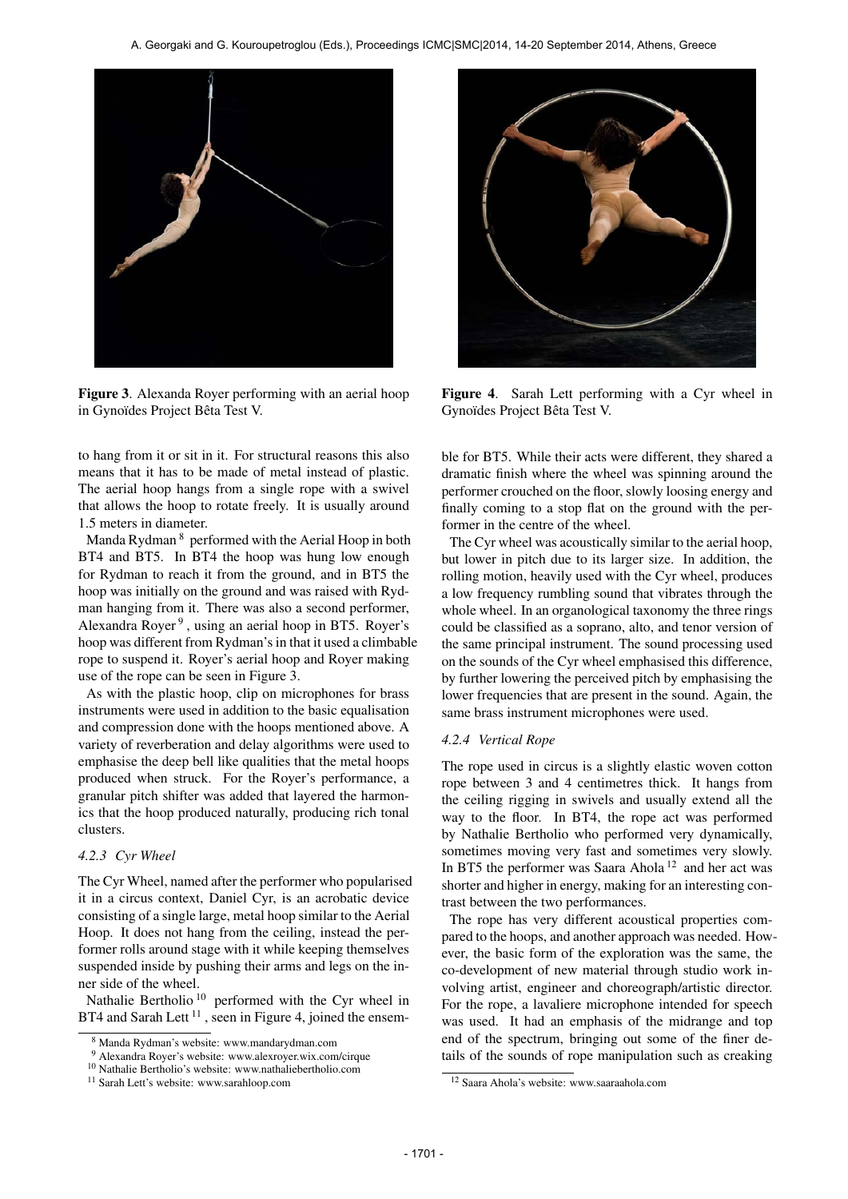

Figure 3. Alexanda Royer performing with an aerial hoop in Gynoïdes Project Bêta Test V.

to hang from it or sit in it. For structural reasons this also means that it has to be made of metal instead of plastic. The aerial hoop hangs from a single rope with a swivel that allows the hoop to rotate freely. It is usually around 1.5 meters in diameter.

Manda Rydman 8 performed with the Aerial Hoop in both BT4 and BT5. In BT4 the hoop was hung low enough for Rydman to reach it from the ground, and in BT5 the hoop was initially on the ground and was raised with Rydman hanging from it. There was also a second performer, Alexandra Royer<sup>9</sup>, using an aerial hoop in BT5. Royer's hoop was different from Rydman's in that it used a climbable rope to suspend it. Royer's aerial hoop and Royer making use of the rope can be seen in Figure 3.

As with the plastic hoop, clip on microphones for brass instruments were used in addition to the basic equalisation and compression done with the hoops mentioned above. A variety of reverberation and delay algorithms were used to emphasise the deep bell like qualities that the metal hoops produced when struck. For the Royer's performance, a granular pitch shifter was added that layered the harmonics that the hoop produced naturally, producing rich tonal clusters.

### *4.2.3 Cyr Wheel*

The Cyr Wheel, named after the performer who popularised it in a circus context, Daniel Cyr, is an acrobatic device consisting of a single large, metal hoop similar to the Aerial Hoop. It does not hang from the ceiling, instead the performer rolls around stage with it while keeping themselves suspended inside by pushing their arms and legs on the inner side of the wheel.

Nathalie Bertholio<sup>10</sup> performed with the Cyr wheel in BT4 and Sarah Lett<sup>11</sup>, seen in Figure 4, joined the ensem-



Figure 4. Sarah Lett performing with a Cyr wheel in Gynoïdes Project Bêta Test V.

ble for BT5. While their acts were different, they shared a dramatic finish where the wheel was spinning around the performer crouched on the floor, slowly loosing energy and finally coming to a stop flat on the ground with the performer in the centre of the wheel.

The Cyr wheel was acoustically similar to the aerial hoop, but lower in pitch due to its larger size. In addition, the rolling motion, heavily used with the Cyr wheel, produces a low frequency rumbling sound that vibrates through the whole wheel. In an organological taxonomy the three rings could be classified as a soprano, alto, and tenor version of the same principal instrument. The sound processing used on the sounds of the Cyr wheel emphasised this difference, by further lowering the perceived pitch by emphasising the lower frequencies that are present in the sound. Again, the same brass instrument microphones were used.

#### *4.2.4 Vertical Rope*

The rope used in circus is a slightly elastic woven cotton rope between 3 and 4 centimetres thick. It hangs from the ceiling rigging in swivels and usually extend all the way to the floor. In BT4, the rope act was performed by Nathalie Bertholio who performed very dynamically, sometimes moving very fast and sometimes very slowly. In BT5 the performer was Saara Ahola<sup>12</sup> and her act was shorter and higher in energy, making for an interesting contrast between the two performances.

The rope has very different acoustical properties compared to the hoops, and another approach was needed. However, the basic form of the exploration was the same, the co-development of new material through studio work involving artist, engineer and choreograph/artistic director. For the rope, a lavaliere microphone intended for speech was used. It had an emphasis of the midrange and top end of the spectrum, bringing out some of the finer details of the sounds of rope manipulation such as creaking

<sup>8</sup> Manda Rydman's website: www.mandarydman.com

<sup>9</sup> Alexandra Royer's website: www.alexroyer.wix.com/cirque

<sup>10</sup> Nathalie Bertholio's website: www.nathaliebertholio.com

<sup>11</sup> Sarah Lett's website: www.sarahloop.com

<sup>12</sup> Saara Ahola's website: www.saaraahola.com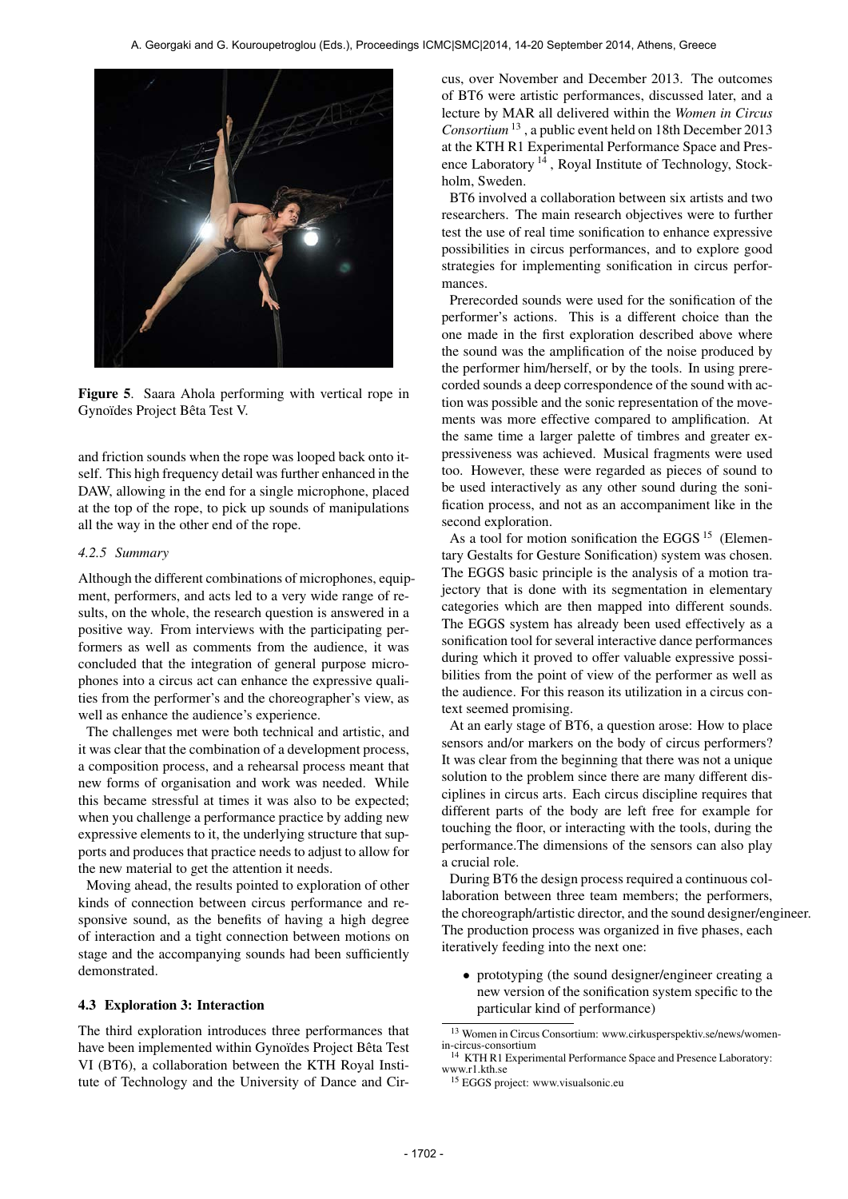

Figure 5. Saara Ahola performing with vertical rope in Gynoïdes Project Bêta Test V.

and friction sounds when the rope was looped back onto itself. This high frequency detail was further enhanced in the DAW, allowing in the end for a single microphone, placed at the top of the rope, to pick up sounds of manipulations all the way in the other end of the rope.

### *4.2.5 Summary*

Although the different combinations of microphones, equipment, performers, and acts led to a very wide range of results, on the whole, the research question is answered in a positive way. From interviews with the participating performers as well as comments from the audience, it was concluded that the integration of general purpose microphones into a circus act can enhance the expressive qualities from the performer's and the choreographer's view, as well as enhance the audience's experience.

The challenges met were both technical and artistic, and it was clear that the combination of a development process, a composition process, and a rehearsal process meant that new forms of organisation and work was needed. While this became stressful at times it was also to be expected; when you challenge a performance practice by adding new expressive elements to it, the underlying structure that supports and produces that practice needs to adjust to allow for the new material to get the attention it needs.

Moving ahead, the results pointed to exploration of other kinds of connection between circus performance and responsive sound, as the benefits of having a high degree of interaction and a tight connection between motions on stage and the accompanying sounds had been sufficiently demonstrated.

### 4.3 Exploration 3: Interaction

The third exploration introduces three performances that have been implemented within Gynoïdes Project Bêta Test VI (BT6), a collaboration between the KTH Royal Institute of Technology and the University of Dance and Circus, over November and December 2013. The outcomes of BT6 were artistic performances, discussed later, and a lecture by MAR all delivered within the *Women in Circus Consortium* 13 , a public event held on 18th December 2013 at the KTH R1 Experimental Performance Space and Presence Laboratory 14 , Royal Institute of Technology, Stockholm, Sweden.

BT6 involved a collaboration between six artists and two researchers. The main research objectives were to further test the use of real time sonification to enhance expressive possibilities in circus performances, and to explore good strategies for implementing sonification in circus performances.

Prerecorded sounds were used for the sonification of the performer's actions. This is a different choice than the one made in the first exploration described above where the sound was the amplification of the noise produced by the performer him/herself, or by the tools. In using prerecorded sounds a deep correspondence of the sound with action was possible and the sonic representation of the movements was more effective compared to amplification. At the same time a larger palette of timbres and greater expressiveness was achieved. Musical fragments were used too. However, these were regarded as pieces of sound to be used interactively as any other sound during the sonification process, and not as an accompaniment like in the second exploration.

As a tool for motion sonification the EGGS  $15$  (Elementary Gestalts for Gesture Sonification) system was chosen. The EGGS basic principle is the analysis of a motion trajectory that is done with its segmentation in elementary categories which are then mapped into different sounds. The EGGS system has already been used effectively as a sonification tool for several interactive dance performances during which it proved to offer valuable expressive possibilities from the point of view of the performer as well as the audience. For this reason its utilization in a circus context seemed promising.

At an early stage of BT6, a question arose: How to place sensors and/or markers on the body of circus performers? It was clear from the beginning that there was not a unique solution to the problem since there are many different disciplines in circus arts. Each circus discipline requires that different parts of the body are left free for example for touching the floor, or interacting with the tools, during the performance.The dimensions of the sensors can also play a crucial role.

During BT6 the design process required a continuous collaboration between three team members; the performers, the choreograph/artistic director, and the sound designer/engineer. The production process was organized in five phases, each iteratively feeding into the next one:

• prototyping (the sound designer/engineer creating a new version of the sonification system specific to the particular kind of performance)

<sup>13</sup> Women in Circus Consortium: www.cirkusperspektiv.se/news/womenin-circus-consortium

<sup>15</sup> EGGS project: www.visualsonic.eu

<sup>14</sup> KTH R1 Experimental Performance Space and Presence Laboratory: www.r1.kth.se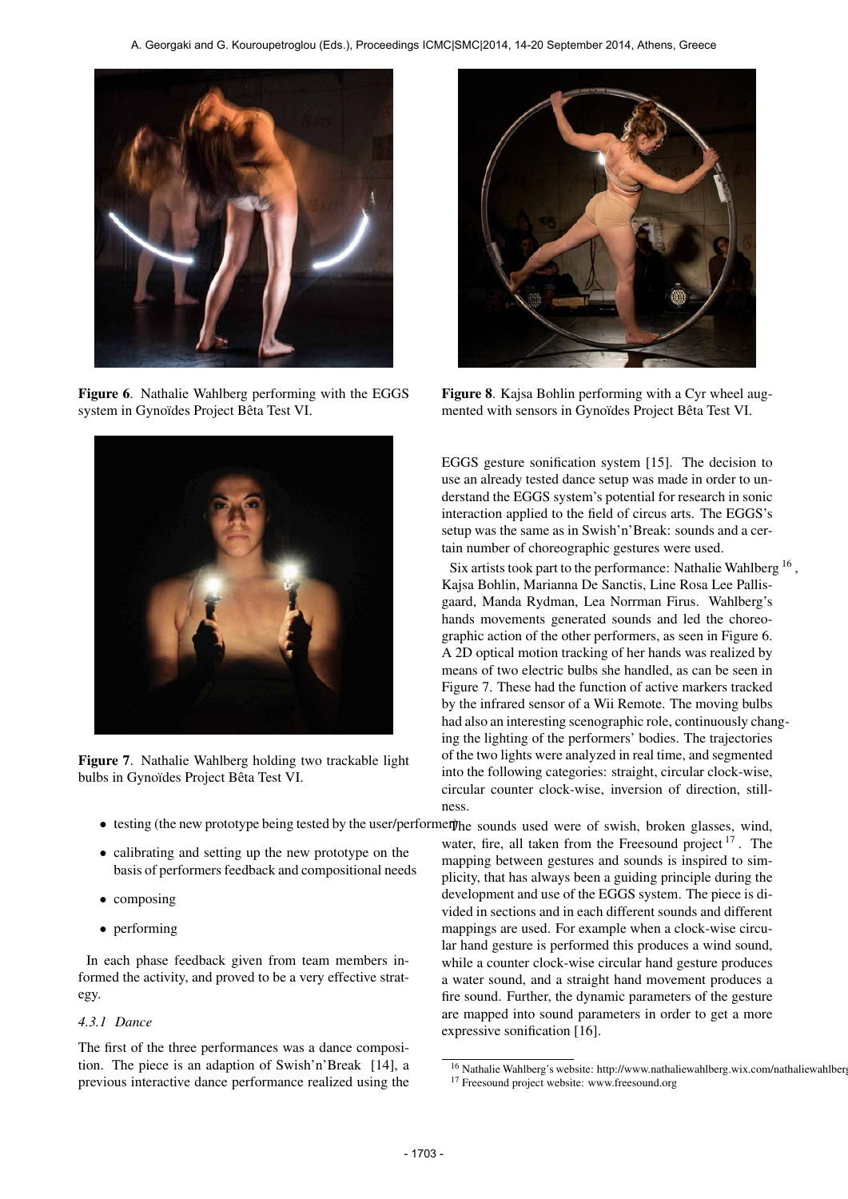

Figure 6. Nathalie Wahlberg performing with the EGGS system in Gynoïdes Project Bêta Test VI.



Figure 7. Nathalie Wahlberg holding two trackable light bulbs in Gynoïdes Project Bêta Test VI.

- 
- calibrating and setting up the new prototype on the basis of performers feedback and compositional needs
- composing
- performing

In each phase feedback given from team members informed the activity, and proved to be a very effective strategy.

#### *4.3.1 Dance*

The first of the three performances was a dance composition. The piece is an adaption of Swish'n'Break [14], a previous interactive dance performance realized using the



Figure 8. Kajsa Bohlin performing with a Cyr wheel augmented with sensors in Gynoïdes Project Bêta Test VI.

EGGS gesture sonification system [15]. The decision to use an already tested dance setup was made in order to understand the EGGS system's potential for research in sonic interaction applied to the field of circus arts. The EGGS's setup was the same as in Swish'n'Break: sounds and a certain number of choreographic gestures were used.

Six artists took part to the performance: Nathalie Wahlberg<sup>16</sup>, Kajsa Bohlin, Marianna De Sanctis, Line Rosa Lee Pallisgaard, Manda Rydman, Lea Norrman Firus. Wahlberg's hands movements generated sounds and led the choreographic action of the other performers, as seen in Figure 6. A 2D optical motion tracking of her hands was realized by means of two electric bulbs she handled, as can be seen in Figure 7. These had the function of active markers tracked by the infrared sensor of a Wii Remote. The moving bulbs had also an interesting scenographic role, continuously changing the lighting of the performers' bodies. The trajectories of the two lights were analyzed in real time, and segmented into the following categories: straight, circular clock-wise, circular counter clock-wise, inversion of direction, stillness.

• testing (the new prototype being tested by the user/performer) the sounds used were of swish, broken glasses, wind, water, fire, all taken from the Freesound project  $17$ . The mapping between gestures and sounds is inspired to simplicity, that has always been a guiding principle during the development and use of the EGGS system. The piece is divided in sections and in each different sounds and different mappings are used. For example when a clock-wise circular hand gesture is performed this produces a wind sound, while a counter clock-wise circular hand gesture produces a water sound, and a straight hand movement produces a fire sound. Further, the dynamic parameters of the gesture are mapped into sound parameters in order to get a more expressive sonification [16].

<sup>16</sup> Nathalie Wahlberg's website: http://www.nathaliewahlberg.wix.com/nathaliewahlberg <sup>17</sup> Freesound project website: www.freesound.org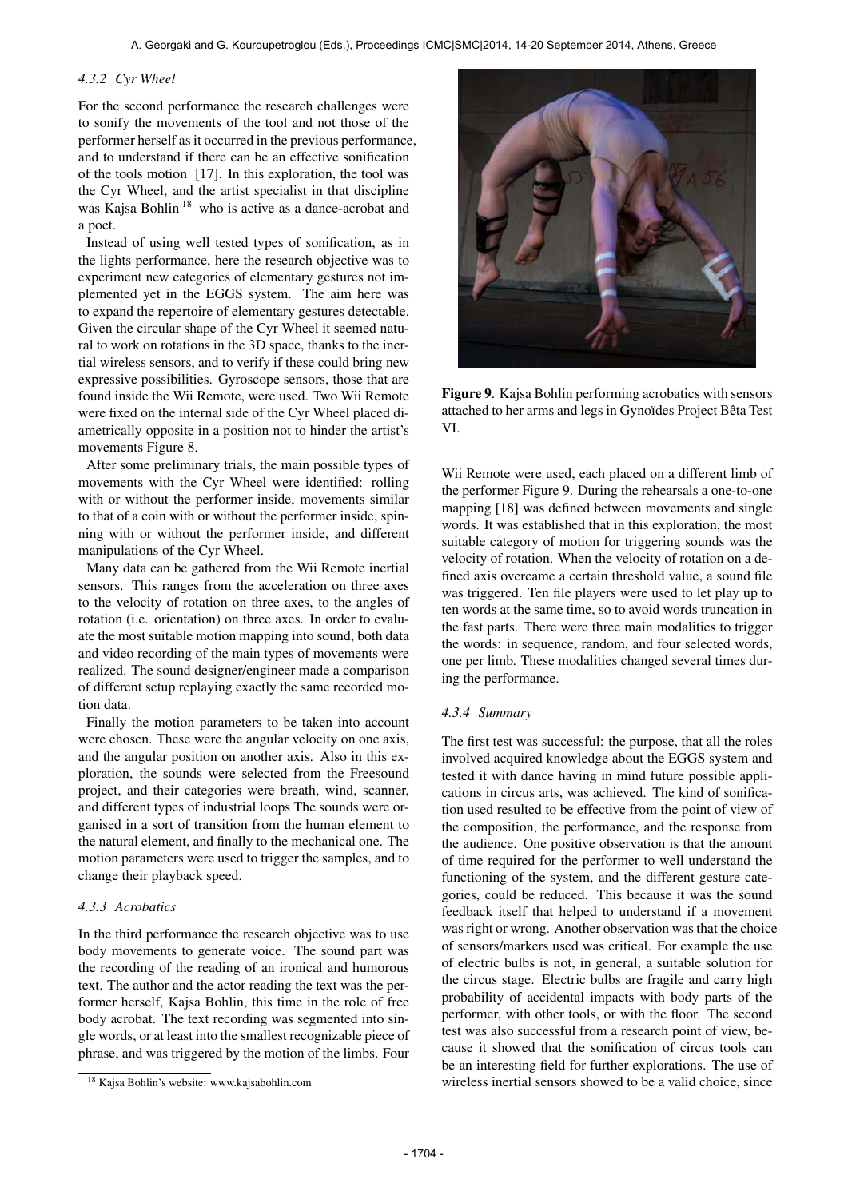### *4.3.2 Cyr Wheel*

For the second performance the research challenges were to sonify the movements of the tool and not those of the performer herself as it occurred in the previous performance, and to understand if there can be an effective sonification of the tools motion [17]. In this exploration, the tool was the Cyr Wheel, and the artist specialist in that discipline was Kajsa Bohlin<sup>18</sup> who is active as a dance-acrobat and a poet.

Instead of using well tested types of sonification, as in the lights performance, here the research objective was to experiment new categories of elementary gestures not implemented yet in the EGGS system. The aim here was to expand the repertoire of elementary gestures detectable. Given the circular shape of the Cyr Wheel it seemed natural to work on rotations in the 3D space, thanks to the inertial wireless sensors, and to verify if these could bring new expressive possibilities. Gyroscope sensors, those that are found inside the Wii Remote, were used. Two Wii Remote were fixed on the internal side of the Cyr Wheel placed diametrically opposite in a position not to hinder the artist's movements Figure 8.

After some preliminary trials, the main possible types of movements with the Cyr Wheel were identified: rolling with or without the performer inside, movements similar to that of a coin with or without the performer inside, spinning with or without the performer inside, and different manipulations of the Cyr Wheel.

Many data can be gathered from the Wii Remote inertial sensors. This ranges from the acceleration on three axes to the velocity of rotation on three axes, to the angles of rotation (i.e. orientation) on three axes. In order to evaluate the most suitable motion mapping into sound, both data and video recording of the main types of movements were realized. The sound designer/engineer made a comparison of different setup replaying exactly the same recorded motion data.

Finally the motion parameters to be taken into account were chosen. These were the angular velocity on one axis, and the angular position on another axis. Also in this exploration, the sounds were selected from the Freesound project, and their categories were breath, wind, scanner, and different types of industrial loops The sounds were organised in a sort of transition from the human element to the natural element, and finally to the mechanical one. The motion parameters were used to trigger the samples, and to change their playback speed.

### *4.3.3 Acrobatics*

In the third performance the research objective was to use body movements to generate voice. The sound part was the recording of the reading of an ironical and humorous text. The author and the actor reading the text was the performer herself, Kajsa Bohlin, this time in the role of free body acrobat. The text recording was segmented into single words, or at least into the smallest recognizable piece of phrase, and was triggered by the motion of the limbs. Four



Figure 9. Kajsa Bohlin performing acrobatics with sensors attached to her arms and legs in Gynoïdes Project Bêta Test VI.

Wii Remote were used, each placed on a different limb of the performer Figure 9. During the rehearsals a one-to-one mapping [18] was defined between movements and single words. It was established that in this exploration, the most suitable category of motion for triggering sounds was the velocity of rotation. When the velocity of rotation on a defined axis overcame a certain threshold value, a sound file was triggered. Ten file players were used to let play up to ten words at the same time, so to avoid words truncation in the fast parts. There were three main modalities to trigger the words: in sequence, random, and four selected words, one per limb. These modalities changed several times during the performance.

#### *4.3.4 Summary*

The first test was successful: the purpose, that all the roles involved acquired knowledge about the EGGS system and tested it with dance having in mind future possible applications in circus arts, was achieved. The kind of sonification used resulted to be effective from the point of view of the composition, the performance, and the response from the audience. One positive observation is that the amount of time required for the performer to well understand the functioning of the system, and the different gesture categories, could be reduced. This because it was the sound feedback itself that helped to understand if a movement was right or wrong. Another observation was that the choice of sensors/markers used was critical. For example the use of electric bulbs is not, in general, a suitable solution for the circus stage. Electric bulbs are fragile and carry high probability of accidental impacts with body parts of the performer, with other tools, or with the floor. The second test was also successful from a research point of view, because it showed that the sonification of circus tools can be an interesting field for further explorations. The use of wireless inertial sensors showed to be a valid choice, since

<sup>18</sup> Kajsa Bohlin's website: www.kajsabohlin.com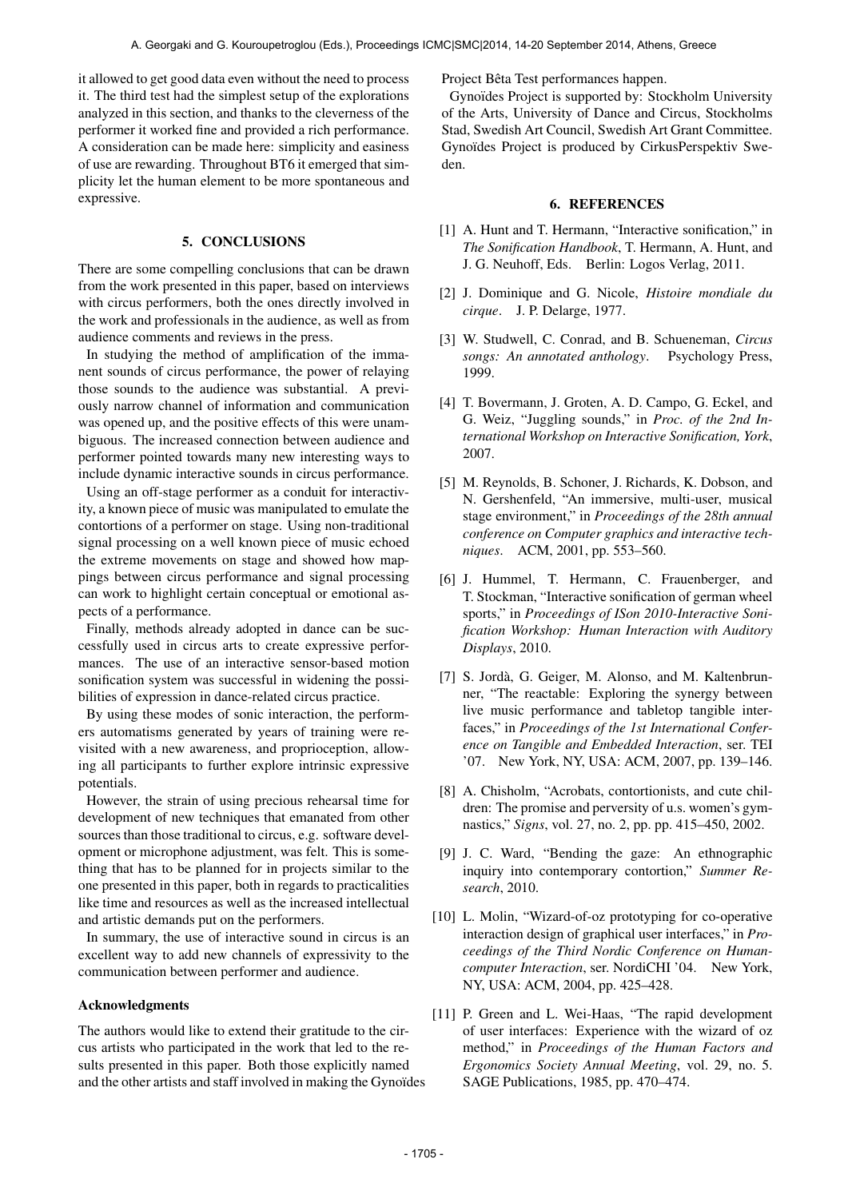it allowed to get good data even without the need to process it. The third test had the simplest setup of the explorations analyzed in this section, and thanks to the cleverness of the performer it worked fine and provided a rich performance. A consideration can be made here: simplicity and easiness of use are rewarding. Throughout BT6 it emerged that simplicity let the human element to be more spontaneous and expressive.

### 5. CONCLUSIONS

There are some compelling conclusions that can be drawn from the work presented in this paper, based on interviews with circus performers, both the ones directly involved in the work and professionals in the audience, as well as from audience comments and reviews in the press.

In studying the method of amplification of the immanent sounds of circus performance, the power of relaying those sounds to the audience was substantial. A previously narrow channel of information and communication was opened up, and the positive effects of this were unambiguous. The increased connection between audience and performer pointed towards many new interesting ways to include dynamic interactive sounds in circus performance.

Using an off-stage performer as a conduit for interactivity, a known piece of music was manipulated to emulate the contortions of a performer on stage. Using non-traditional signal processing on a well known piece of music echoed the extreme movements on stage and showed how mappings between circus performance and signal processing can work to highlight certain conceptual or emotional aspects of a performance.

Finally, methods already adopted in dance can be successfully used in circus arts to create expressive performances. The use of an interactive sensor-based motion sonification system was successful in widening the possibilities of expression in dance-related circus practice.

By using these modes of sonic interaction, the performers automatisms generated by years of training were revisited with a new awareness, and proprioception, allowing all participants to further explore intrinsic expressive potentials.

However, the strain of using precious rehearsal time for development of new techniques that emanated from other sources than those traditional to circus, e.g. software development or microphone adjustment, was felt. This is something that has to be planned for in projects similar to the one presented in this paper, both in regards to practicalities like time and resources as well as the increased intellectual and artistic demands put on the performers.

In summary, the use of interactive sound in circus is an excellent way to add new channels of expressivity to the communication between performer and audience.

### Acknowledgments

The authors would like to extend their gratitude to the circus artists who participated in the work that led to the results presented in this paper. Both those explicitly named and the other artists and staff involved in making the Gynoïdes Project Bêta Test performances happen.

Gynoïdes Project is supported by: Stockholm University of the Arts, University of Dance and Circus, Stockholms Stad, Swedish Art Council, Swedish Art Grant Committee. Gynoïdes Project is produced by CirkusPerspektiv Sweden.

#### 6. REFERENCES

- [1] A. Hunt and T. Hermann, "Interactive sonification," in *The Sonification Handbook*, T. Hermann, A. Hunt, and J. G. Neuhoff, Eds. Berlin: Logos Verlag, 2011.
- [2] J. Dominique and G. Nicole, *Histoire mondiale du cirque*. J. P. Delarge, 1977.
- [3] W. Studwell, C. Conrad, and B. Schueneman, *Circus songs: An annotated anthology*. Psychology Press, 1999.
- [4] T. Bovermann, J. Groten, A. D. Campo, G. Eckel, and G. Weiz, "Juggling sounds," in *Proc. of the 2nd International Workshop on Interactive Sonification, York*, 2007.
- [5] M. Reynolds, B. Schoner, J. Richards, K. Dobson, and N. Gershenfeld, "An immersive, multi-user, musical stage environment," in *Proceedings of the 28th annual conference on Computer graphics and interactive techniques*. ACM, 2001, pp. 553–560.
- [6] J. Hummel, T. Hermann, C. Frauenberger, and T. Stockman, "Interactive sonification of german wheel sports," in *Proceedings of ISon 2010-Interactive Sonification Workshop: Human Interaction with Auditory Displays*, 2010.
- [7] S. Jordà, G. Geiger, M. Alonso, and M. Kaltenbrunner, "The reactable: Exploring the synergy between live music performance and tabletop tangible interfaces," in *Proceedings of the 1st International Conference on Tangible and Embedded Interaction*, ser. TEI '07. New York, NY, USA: ACM, 2007, pp. 139–146.
- [8] A. Chisholm, "Acrobats, contortionists, and cute children: The promise and perversity of u.s. women's gymnastics," *Signs*, vol. 27, no. 2, pp. pp. 415–450, 2002.
- [9] J. C. Ward, "Bending the gaze: An ethnographic inquiry into contemporary contortion," *Summer Research*, 2010.
- [10] L. Molin, "Wizard-of-oz prototyping for co-operative interaction design of graphical user interfaces," in *Proceedings of the Third Nordic Conference on Humancomputer Interaction*, ser. NordiCHI '04. New York, NY, USA: ACM, 2004, pp. 425–428.
- [11] P. Green and L. Wei-Haas, "The rapid development of user interfaces: Experience with the wizard of oz method," in *Proceedings of the Human Factors and Ergonomics Society Annual Meeting*, vol. 29, no. 5. SAGE Publications, 1985, pp. 470–474.